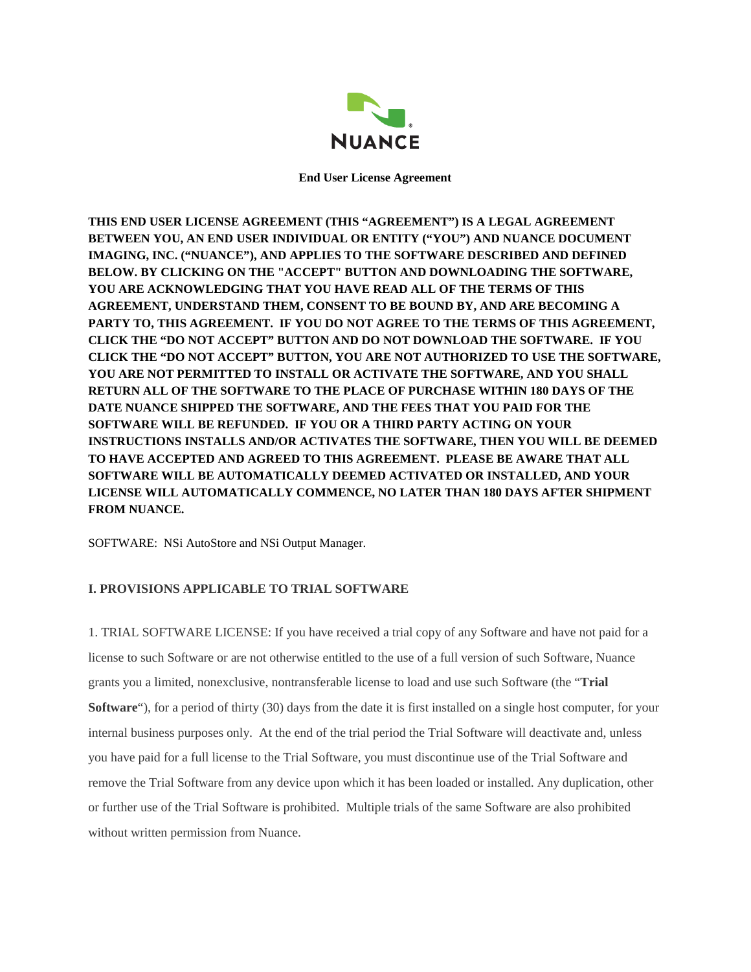

**End User License Agreement**

**THIS END USER LICENSE AGREEMENT (THIS "AGREEMENT") IS A LEGAL AGREEMENT BETWEEN YOU, AN END USER INDIVIDUAL OR ENTITY ("YOU") AND NUANCE DOCUMENT IMAGING, INC. ("NUANCE"), AND APPLIES TO THE SOFTWARE DESCRIBED AND DEFINED BELOW. BY CLICKING ON THE "ACCEPT" BUTTON AND DOWNLOADING THE SOFTWARE, YOU ARE ACKNOWLEDGING THAT YOU HAVE READ ALL OF THE TERMS OF THIS AGREEMENT, UNDERSTAND THEM, CONSENT TO BE BOUND BY, AND ARE BECOMING A PARTY TO, THIS AGREEMENT. IF YOU DO NOT AGREE TO THE TERMS OF THIS AGREEMENT, CLICK THE "DO NOT ACCEPT" BUTTON AND DO NOT DOWNLOAD THE SOFTWARE. IF YOU CLICK THE "DO NOT ACCEPT" BUTTON, YOU ARE NOT AUTHORIZED TO USE THE SOFTWARE, YOU ARE NOT PERMITTED TO INSTALL OR ACTIVATE THE SOFTWARE, AND YOU SHALL RETURN ALL OF THE SOFTWARE TO THE PLACE OF PURCHASE WITHIN 180 DAYS OF THE DATE NUANCE SHIPPED THE SOFTWARE, AND THE FEES THAT YOU PAID FOR THE SOFTWARE WILL BE REFUNDED. IF YOU OR A THIRD PARTY ACTING ON YOUR INSTRUCTIONS INSTALLS AND/OR ACTIVATES THE SOFTWARE, THEN YOU WILL BE DEEMED TO HAVE ACCEPTED AND AGREED TO THIS AGREEMENT. PLEASE BE AWARE THAT ALL SOFTWARE WILL BE AUTOMATICALLY DEEMED ACTIVATED OR INSTALLED, AND YOUR LICENSE WILL AUTOMATICALLY COMMENCE, NO LATER THAN 180 DAYS AFTER SHIPMENT FROM NUANCE.**

SOFTWARE: NSi AutoStore and NSi Output Manager.

# **I. PROVISIONS APPLICABLE TO TRIAL SOFTWARE**

1. TRIAL SOFTWARE LICENSE: If you have received a trial copy of any Software and have not paid for a license to such Software or are not otherwise entitled to the use of a full version of such Software, Nuance grants you a limited, nonexclusive, nontransferable license to load and use such Software (the "**Trial Software**"), for a period of thirty (30) days from the date it is first installed on a single host computer, for your internal business purposes only. At the end of the trial period the Trial Software will deactivate and, unless you have paid for a full license to the Trial Software, you must discontinue use of the Trial Software and remove the Trial Software from any device upon which it has been loaded or installed. Any duplication, other or further use of the Trial Software is prohibited. Multiple trials of the same Software are also prohibited without written permission from Nuance.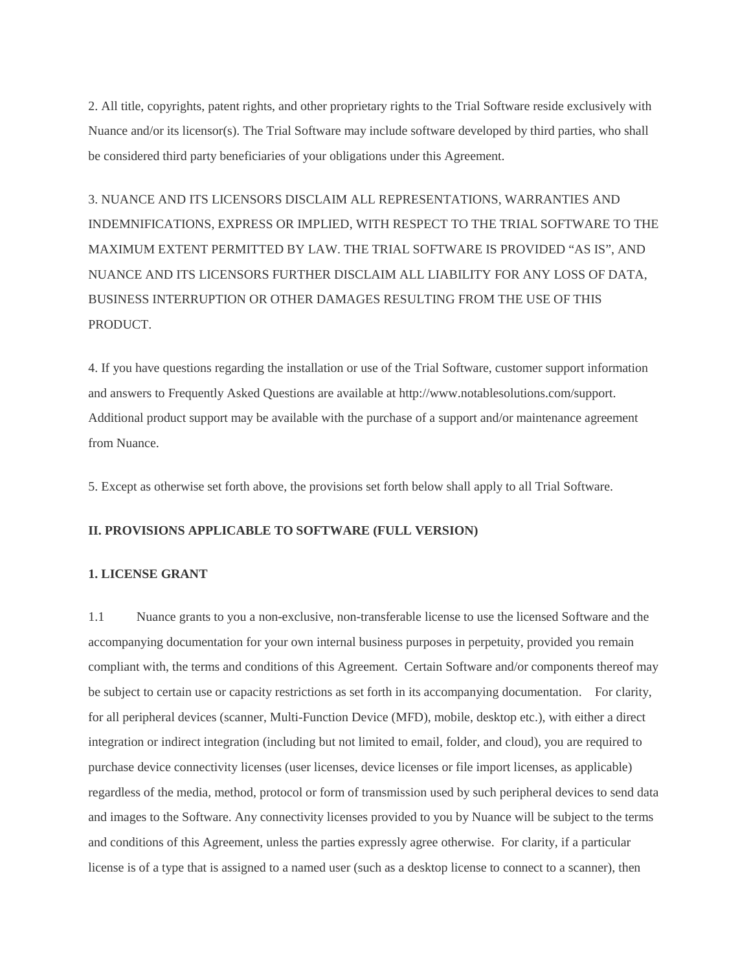2. All title, copyrights, patent rights, and other proprietary rights to the Trial Software reside exclusively with Nuance and/or its licensor(s). The Trial Software may include software developed by third parties, who shall be considered third party beneficiaries of your obligations under this Agreement.

3. NUANCE AND ITS LICENSORS DISCLAIM ALL REPRESENTATIONS, WARRANTIES AND INDEMNIFICATIONS, EXPRESS OR IMPLIED, WITH RESPECT TO THE TRIAL SOFTWARE TO THE MAXIMUM EXTENT PERMITTED BY LAW. THE TRIAL SOFTWARE IS PROVIDED "AS IS", AND NUANCE AND ITS LICENSORS FURTHER DISCLAIM ALL LIABILITY FOR ANY LOSS OF DATA, BUSINESS INTERRUPTION OR OTHER DAMAGES RESULTING FROM THE USE OF THIS PRODUCT.

4. If you have questions regarding the installation or use of the Trial Software, customer support information and answers to Frequently Asked Questions are available at http://www.notablesolutions.com/support. Additional product support may be available with the purchase of a support and/or maintenance agreement from Nuance.

5. Except as otherwise set forth above, the provisions set forth below shall apply to all Trial Software.

#### **II. PROVISIONS APPLICABLE TO SOFTWARE (FULL VERSION)**

# **1. LICENSE GRANT**

1.1 Nuance grants to you a non-exclusive, non-transferable license to use the licensed Software and the accompanying documentation for your own internal business purposes in perpetuity, provided you remain compliant with, the terms and conditions of this Agreement. Certain Software and/or components thereof may be subject to certain use or capacity restrictions as set forth in its accompanying documentation. For clarity, for all peripheral devices (scanner, Multi-Function Device (MFD), mobile, desktop etc.), with either a direct integration or indirect integration (including but not limited to email, folder, and cloud), you are required to purchase device connectivity licenses (user licenses, device licenses or file import licenses, as applicable) regardless of the media, method, protocol or form of transmission used by such peripheral devices to send data and images to the Software. Any connectivity licenses provided to you by Nuance will be subject to the terms and conditions of this Agreement, unless the parties expressly agree otherwise. For clarity, if a particular license is of a type that is assigned to a named user (such as a desktop license to connect to a scanner), then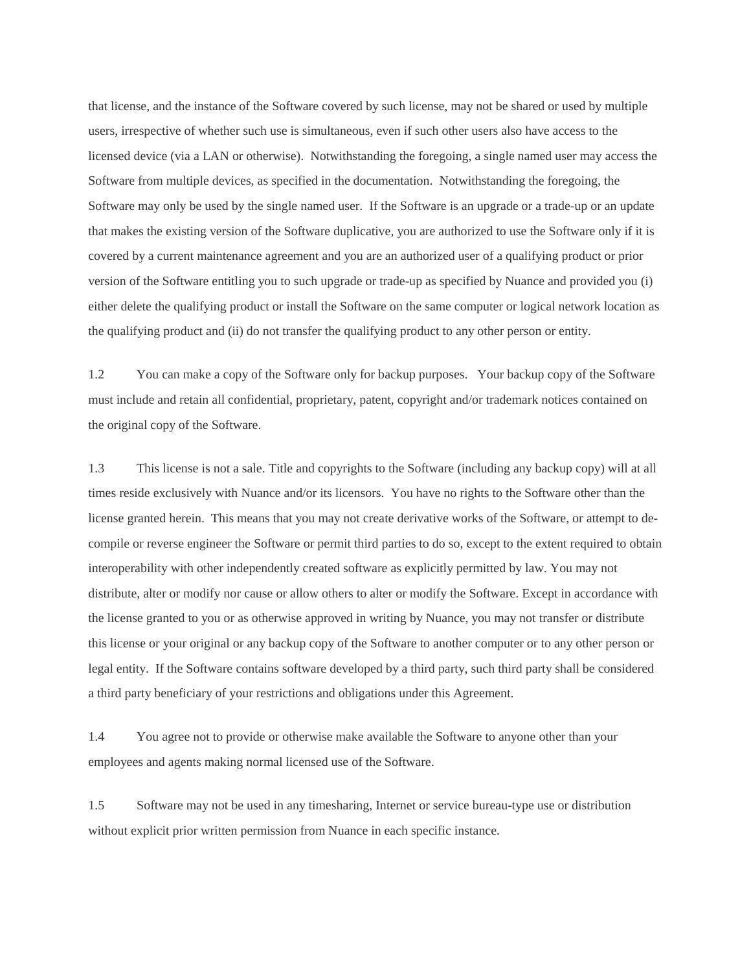that license, and the instance of the Software covered by such license, may not be shared or used by multiple users, irrespective of whether such use is simultaneous, even if such other users also have access to the licensed device (via a LAN or otherwise). Notwithstanding the foregoing, a single named user may access the Software from multiple devices, as specified in the documentation. Notwithstanding the foregoing, the Software may only be used by the single named user. If the Software is an upgrade or a trade-up or an update that makes the existing version of the Software duplicative, you are authorized to use the Software only if it is covered by a current maintenance agreement and you are an authorized user of a qualifying product or prior version of the Software entitling you to such upgrade or trade-up as specified by Nuance and provided you (i) either delete the qualifying product or install the Software on the same computer or logical network location as the qualifying product and (ii) do not transfer the qualifying product to any other person or entity.

1.2 You can make a copy of the Software only for backup purposes. Your backup copy of the Software must include and retain all confidential, proprietary, patent, copyright and/or trademark notices contained on the original copy of the Software.

1.3 This license is not a sale. Title and copyrights to the Software (including any backup copy) will at all times reside exclusively with Nuance and/or its licensors. You have no rights to the Software other than the license granted herein. This means that you may not create derivative works of the Software, or attempt to decompile or reverse engineer the Software or permit third parties to do so, except to the extent required to obtain interoperability with other independently created software as explicitly permitted by law. You may not distribute, alter or modify nor cause or allow others to alter or modify the Software. Except in accordance with the license granted to you or as otherwise approved in writing by Nuance, you may not transfer or distribute this license or your original or any backup copy of the Software to another computer or to any other person or legal entity. If the Software contains software developed by a third party, such third party shall be considered a third party beneficiary of your restrictions and obligations under this Agreement.

1.4 You agree not to provide or otherwise make available the Software to anyone other than your employees and agents making normal licensed use of the Software.

1.5 Software may not be used in any timesharing, Internet or service bureau-type use or distribution without explicit prior written permission from Nuance in each specific instance.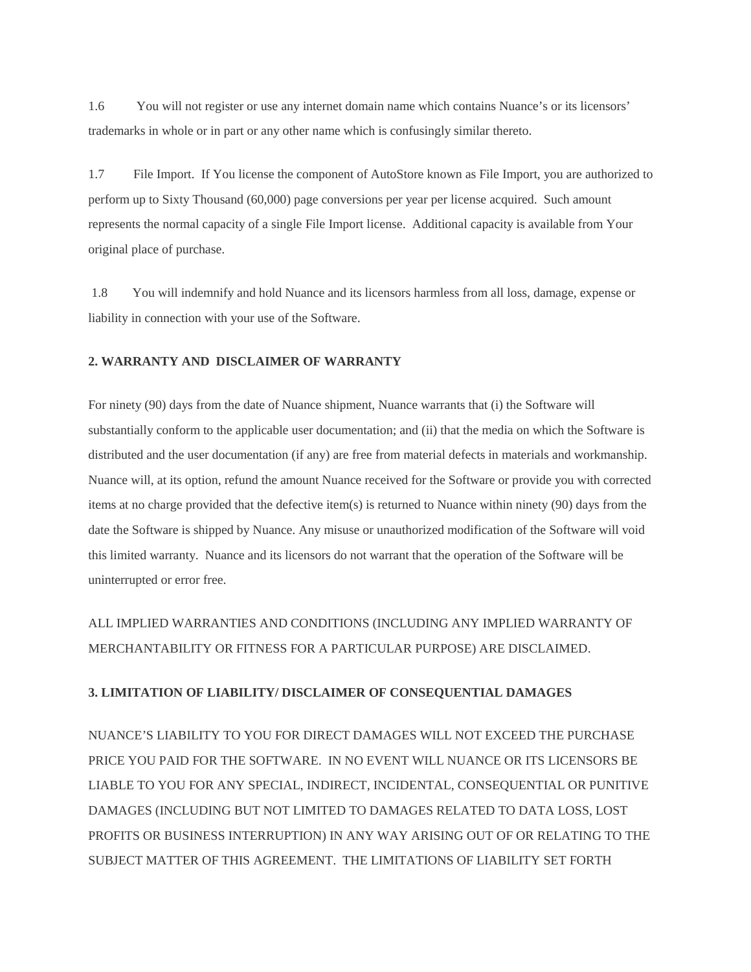1.6 You will not register or use any internet domain name which contains Nuance's or its licensors' trademarks in whole or in part or any other name which is confusingly similar thereto.

1.7 File Import. If You license the component of AutoStore known as File Import, you are authorized to perform up to Sixty Thousand (60,000) page conversions per year per license acquired. Such amount represents the normal capacity of a single File Import license. Additional capacity is available from Your original place of purchase.

1.8 You will indemnify and hold Nuance and its licensors harmless from all loss, damage, expense or liability in connection with your use of the Software.

### **2. WARRANTY AND DISCLAIMER OF WARRANTY**

For ninety (90) days from the date of Nuance shipment, Nuance warrants that (i) the Software will substantially conform to the applicable user documentation; and (ii) that the media on which the Software is distributed and the user documentation (if any) are free from material defects in materials and workmanship. Nuance will, at its option, refund the amount Nuance received for the Software or provide you with corrected items at no charge provided that the defective item(s) is returned to Nuance within ninety (90) days from the date the Software is shipped by Nuance. Any misuse or unauthorized modification of the Software will void this limited warranty. Nuance and its licensors do not warrant that the operation of the Software will be uninterrupted or error free.

ALL IMPLIED WARRANTIES AND CONDITIONS (INCLUDING ANY IMPLIED WARRANTY OF MERCHANTABILITY OR FITNESS FOR A PARTICULAR PURPOSE) ARE DISCLAIMED.

### **3. LIMITATION OF LIABILITY/ DISCLAIMER OF CONSEQUENTIAL DAMAGES**

NUANCE'S LIABILITY TO YOU FOR DIRECT DAMAGES WILL NOT EXCEED THE PURCHASE PRICE YOU PAID FOR THE SOFTWARE. IN NO EVENT WILL NUANCE OR ITS LICENSORS BE LIABLE TO YOU FOR ANY SPECIAL, INDIRECT, INCIDENTAL, CONSEQUENTIAL OR PUNITIVE DAMAGES (INCLUDING BUT NOT LIMITED TO DAMAGES RELATED TO DATA LOSS, LOST PROFITS OR BUSINESS INTERRUPTION) IN ANY WAY ARISING OUT OF OR RELATING TO THE SUBJECT MATTER OF THIS AGREEMENT. THE LIMITATIONS OF LIABILITY SET FORTH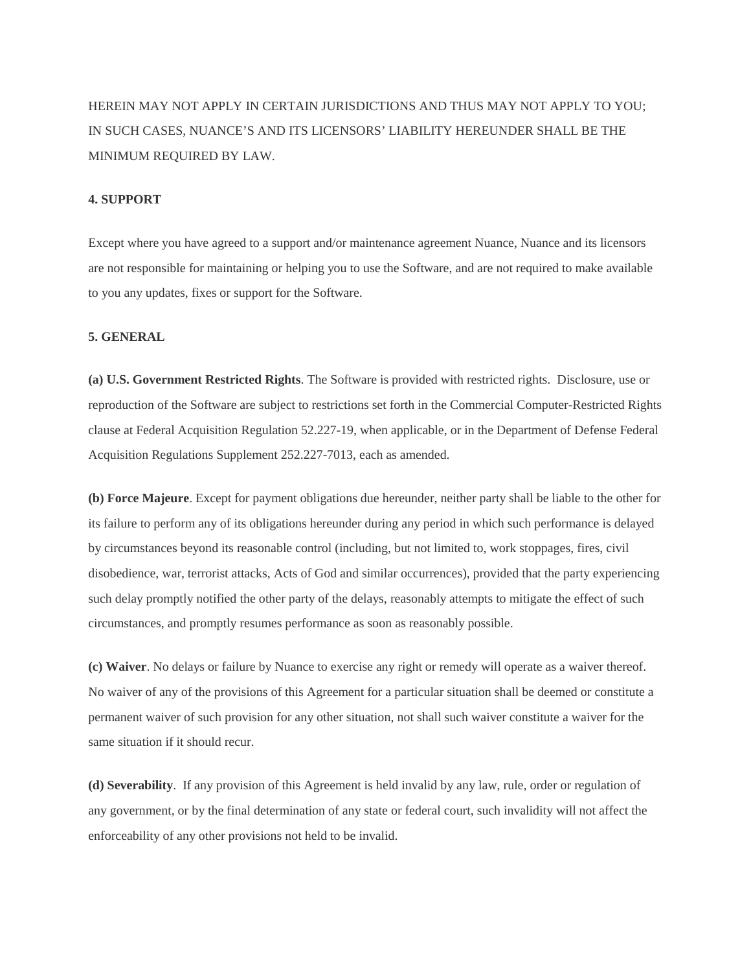HEREIN MAY NOT APPLY IN CERTAIN JURISDICTIONS AND THUS MAY NOT APPLY TO YOU; IN SUCH CASES, NUANCE'S AND ITS LICENSORS' LIABILITY HEREUNDER SHALL BE THE MINIMUM REQUIRED BY LAW.

## **4. SUPPORT**

Except where you have agreed to a support and/or maintenance agreement Nuance, Nuance and its licensors are not responsible for maintaining or helping you to use the Software, and are not required to make available to you any updates, fixes or support for the Software.

#### **5. GENERAL**

**(a) U.S. Government Restricted Rights**. The Software is provided with restricted rights. Disclosure, use or reproduction of the Software are subject to restrictions set forth in the Commercial Computer-Restricted Rights clause at Federal Acquisition Regulation 52.227-19, when applicable, or in the Department of Defense Federal Acquisition Regulations Supplement 252.227-7013, each as amended.

**(b) Force Majeure**. Except for payment obligations due hereunder, neither party shall be liable to the other for its failure to perform any of its obligations hereunder during any period in which such performance is delayed by circumstances beyond its reasonable control (including, but not limited to, work stoppages, fires, civil disobedience, war, terrorist attacks, Acts of God and similar occurrences), provided that the party experiencing such delay promptly notified the other party of the delays, reasonably attempts to mitigate the effect of such circumstances, and promptly resumes performance as soon as reasonably possible.

**(c) Waiver**. No delays or failure by Nuance to exercise any right or remedy will operate as a waiver thereof. No waiver of any of the provisions of this Agreement for a particular situation shall be deemed or constitute a permanent waiver of such provision for any other situation, not shall such waiver constitute a waiver for the same situation if it should recur.

**(d) Severability**. If any provision of this Agreement is held invalid by any law, rule, order or regulation of any government, or by the final determination of any state or federal court, such invalidity will not affect the enforceability of any other provisions not held to be invalid.